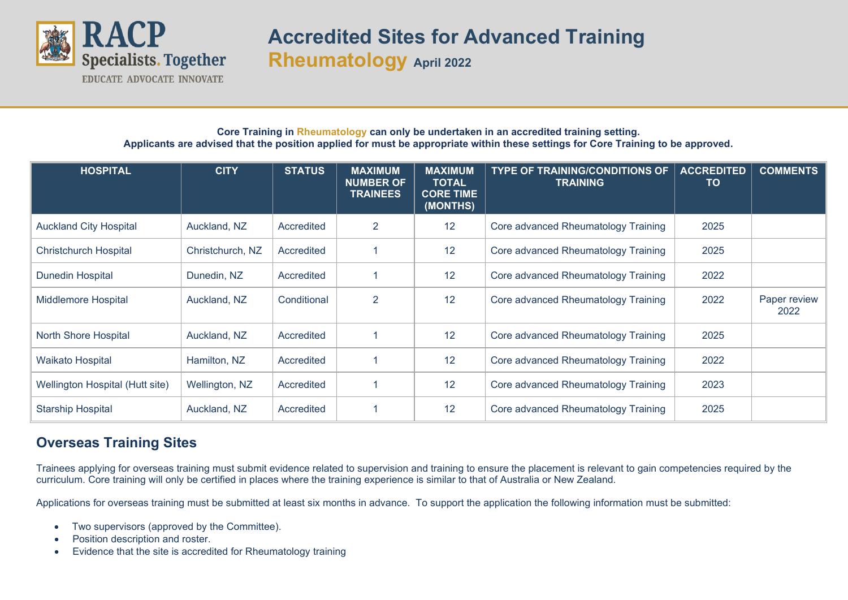

**Accredited Sites for Advanced Training Rheumatology April 2022**

## **Core Training in Rheumatology can only be undertaken in an accredited training setting. Applicants are advised that the position applied for must be appropriate within these settings for Core Training to be approved.**

| <b>HOSPITAL</b>                 | <b>CITY</b>      | <b>STATUS</b> | <b>MAXIMUM</b><br><b>NUMBER OF</b><br><b>TRAINEES</b> | <b>MAXIMUM</b><br><b>TOTAL</b><br><b>CORE TIME</b><br>(MONTHS) | <b>TYPE OF TRAINING/CONDITIONS OF</b><br><b>TRAINING</b> | <b>ACCREDITED</b><br>TO | <b>COMMENTS</b>      |
|---------------------------------|------------------|---------------|-------------------------------------------------------|----------------------------------------------------------------|----------------------------------------------------------|-------------------------|----------------------|
| <b>Auckland City Hospital</b>   | Auckland, NZ     | Accredited    | 2                                                     | 12                                                             | Core advanced Rheumatology Training                      | 2025                    |                      |
| <b>Christchurch Hospital</b>    | Christchurch, NZ | Accredited    |                                                       | 12                                                             | Core advanced Rheumatology Training                      | 2025                    |                      |
| <b>Dunedin Hospital</b>         | Dunedin, NZ      | Accredited    |                                                       | 12                                                             | Core advanced Rheumatology Training                      | 2022                    |                      |
| <b>Middlemore Hospital</b>      | Auckland, NZ     | Conditional   | $\overline{2}$                                        | 12                                                             | Core advanced Rheumatology Training                      | 2022                    | Paper review<br>2022 |
| North Shore Hospital            | Auckland, NZ     | Accredited    |                                                       | 12                                                             | Core advanced Rheumatology Training                      | 2025                    |                      |
| Waikato Hospital                | Hamilton, NZ     | Accredited    | 1                                                     | 12                                                             | Core advanced Rheumatology Training                      | 2022                    |                      |
| Wellington Hospital (Hutt site) | Wellington, NZ   | Accredited    |                                                       | 12                                                             | Core advanced Rheumatology Training                      | 2023                    |                      |
| <b>Starship Hospital</b>        | Auckland, NZ     | Accredited    | 1                                                     | 12                                                             | Core advanced Rheumatology Training                      | 2025                    |                      |

## **Overseas Training Sites**

Trainees applying for overseas training must submit evidence related to supervision and training to ensure the placement is relevant to gain competencies required by the curriculum. Core training will only be certified in places where the training experience is similar to that of Australia or New Zealand.

Applications for overseas training must be submitted at least six months in advance. To support the application the following information must be submitted:

- Two supervisors (approved by the Committee).
- Position description and roster.
- Evidence that the site is accredited for Rheumatology training